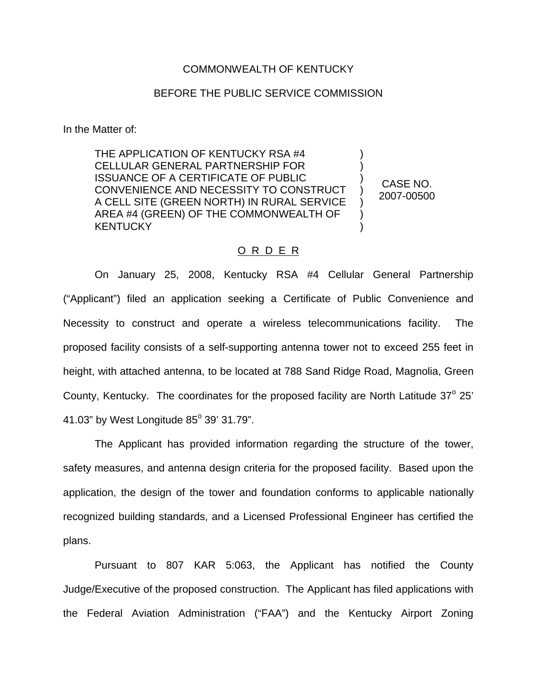## COMMONWEALTH OF KENTUCKY

## BEFORE THE PUBLIC SERVICE COMMISSION

In the Matter of:

THE APPLICATION OF KENTUCKY RSA #4 CELLULAR GENERAL PARTNERSHIP FOR ISSUANCE OF A CERTIFICATE OF PUBLIC CONVENIENCE AND NECESSITY TO CONSTRUCT A CELL SITE (GREEN NORTH) IN RURAL SERVICE AREA #4 (GREEN) OF THE COMMONWEALTH OF **KENTUCKY** ) ) ) ) ) ) )

CASE NO. 2007-00500

## O R D E R

On January 25, 2008, Kentucky RSA #4 Cellular General Partnership ("Applicant") filed an application seeking a Certificate of Public Convenience and Necessity to construct and operate a wireless telecommunications facility. The proposed facility consists of a self-supporting antenna tower not to exceed 255 feet in height, with attached antenna, to be located at 788 Sand Ridge Road, Magnolia, Green County, Kentucky. The coordinates for the proposed facility are North Latitude  $37^\circ$  25' 41.03" by West Longitude  $85^{\circ}$  39' 31.79".

The Applicant has provided information regarding the structure of the tower, safety measures, and antenna design criteria for the proposed facility. Based upon the application, the design of the tower and foundation conforms to applicable nationally recognized building standards, and a Licensed Professional Engineer has certified the plans.

Pursuant to 807 KAR 5:063, the Applicant has notified the County Judge/Executive of the proposed construction. The Applicant has filed applications with the Federal Aviation Administration ("FAA") and the Kentucky Airport Zoning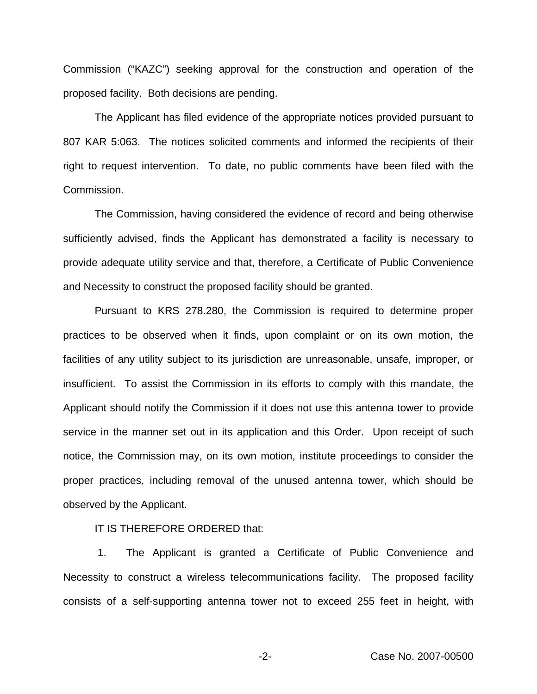Commission ("KAZC") seeking approval for the construction and operation of the proposed facility. Both decisions are pending.

The Applicant has filed evidence of the appropriate notices provided pursuant to 807 KAR 5:063. The notices solicited comments and informed the recipients of their right to request intervention. To date, no public comments have been filed with the Commission.

The Commission, having considered the evidence of record and being otherwise sufficiently advised, finds the Applicant has demonstrated a facility is necessary to provide adequate utility service and that, therefore, a Certificate of Public Convenience and Necessity to construct the proposed facility should be granted.

Pursuant to KRS 278.280, the Commission is required to determine proper practices to be observed when it finds, upon complaint or on its own motion, the facilities of any utility subject to its jurisdiction are unreasonable, unsafe, improper, or insufficient. To assist the Commission in its efforts to comply with this mandate, the Applicant should notify the Commission if it does not use this antenna tower to provide service in the manner set out in its application and this Order. Upon receipt of such notice, the Commission may, on its own motion, institute proceedings to consider the proper practices, including removal of the unused antenna tower, which should be observed by the Applicant.

IT IS THEREFORE ORDERED that:

1. The Applicant is granted a Certificate of Public Convenience and Necessity to construct a wireless telecommunications facility. The proposed facility consists of a self-supporting antenna tower not to exceed 255 feet in height, with